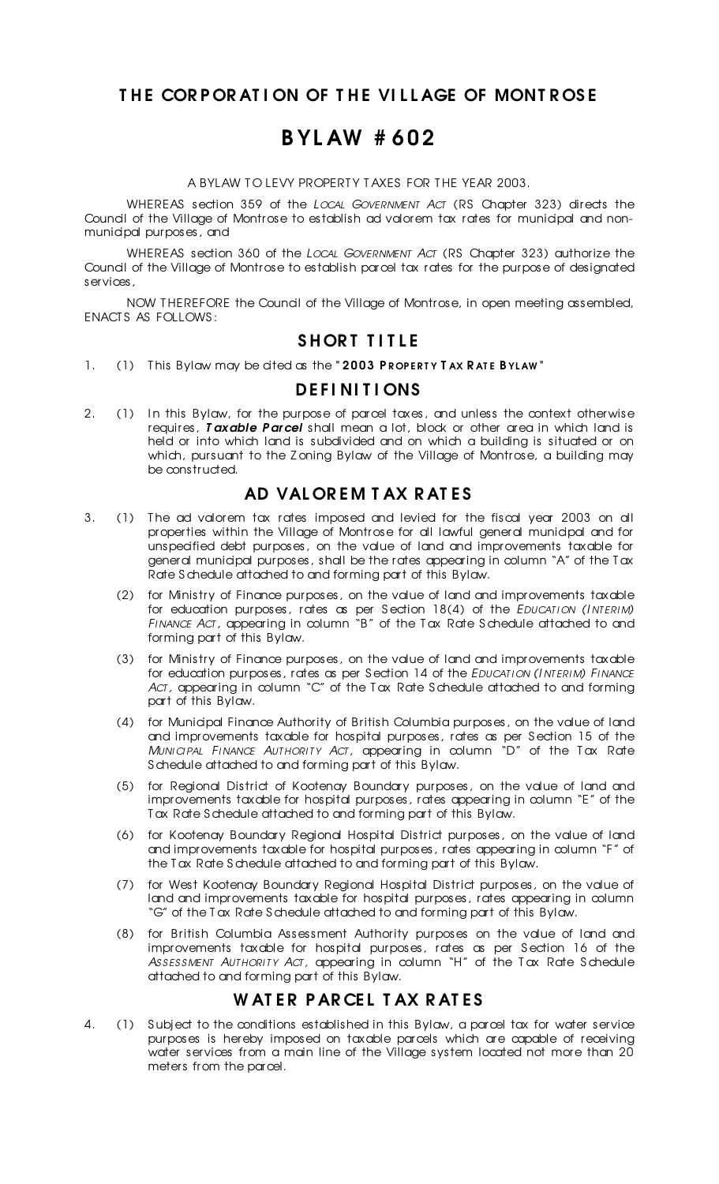### THE CORPORATION OF THE VILLAGE OF MONTROSE

## B YL AW # 602

A BYLAW TO LEVY PROPERTY TAXES FOR THE YEAR 2003.

WHEREAS section 359 of the *LOCAL GOVERNMENT ACT* (RS Chapter 323) directs the Council of the Village of Montrose to establish ad valorem tax rates for municipal and nonmunicipal purposes, and

WHEREAS section 360 of the *LOCAL GOVERNMENT ACT* (RS Chapter 323) authorize the Council of the Village of Montrose to establish parcel tax rates for the purpose of designated services,

NOW THEREFORE the Council of the Village of Montrose, in open meeting assembled, ENACT S AS FOLLOWS :

#### SHORT TITLE

1. (1) This Bylaw may be cited as the "2003 PROPERTY TAX RATE BYLAW"

#### **DEFINITIONS**

2. (1) In this Bylaw, for the purpose of parcel taxes, and unless the context otherwise requires, *T axable P ar cel* shall mean a lot, block or other area in which land is held or into which land is subdivided and on which a building is situated or on which, pursuant to the Z oning Bylaw of the Village of Montrose, a building may be constructed.

### AD VALOREM TAX RATES

- 3. (1) The ad valorem tax rates imposed and levied for the fiscal year 2003 on all properties within the Village of Montrose for all lawful general municipal and for unspecified debt purposes, on the value of land and improvements taxable for general municipal purposes, shall be the rates appearing in column "A" of the T ax Rate S chedule attached to and forming part of this Bylaw.
	- (2) for Ministry of Finance purposes, on the value of land and improvements taxable for education purposes, rates as per S ection 18(4) of the *EDUCAT I ON (I NT ERI M) FI NANCE ACT ,* appearing in column "B" of the T ax Rate S chedule attached to and forming part of this Bylaw.
	- (3) for Ministry of Finance purposes, on the value of land and improvements taxable for education purposes, rates as per S ection 14 of the *EDUCAT I ON (I NT ERI M) FI NANCE ACT ,* appearing in column "C" of the T ax Rate S chedule attached to and forming part of this Bylaw.
	- (4) for Municipal Finance Authority of British Columbia purposes, on the value of land and improvements taxable for hospital purposes, rates as per S ection 15 of the *MUNI CI PAL FI NANCE AUT HORI T Y ACT ,* appearing in column "D" of the T ax Rate S chedule attached to and forming part of this Bylaw.
	- (5) for Regional District of Kootenay Boundary purposes, on the value of land and improvements taxable for hospital purposes, rates appearing in column "E" of the T ax Rate S chedule attached to and forming part of this Bylaw.
	- (6) for Kootenay Boundary Regional Hospital District purposes, on the value of land and improvements taxable for hospital purposes, rates appearing in column "F" of the T ax Rate S chedule attached to and forming part of this Bylaw.
	- (7) for West Kootenay Boundary Regional Hospital District purposes, on the value of land and improvements taxable for hospital purposes, rates appearing in column "G" of the T ax Rate S chedule attached to and forming part of this Bylaw.
	- (8) for British Columbia Assessment Authority purposes on the value of land and improvements taxable for hospital purposes, rates as per S ection 16 of the *AS S ES S MENT AUT HORI T Y ACT ,* appearing in column "H" of the T ax Rate S chedule attached to and forming part of this Bylaw.

#### WATER PARCEL TAX RATES

4. (1) Subject to the conditions established in this Bylaw, a parcel tax for water service purposes is hereby imposed on taxable parcels which are capable of receiving water services from a main line of the Village system located not more than 20 meters from the parcel.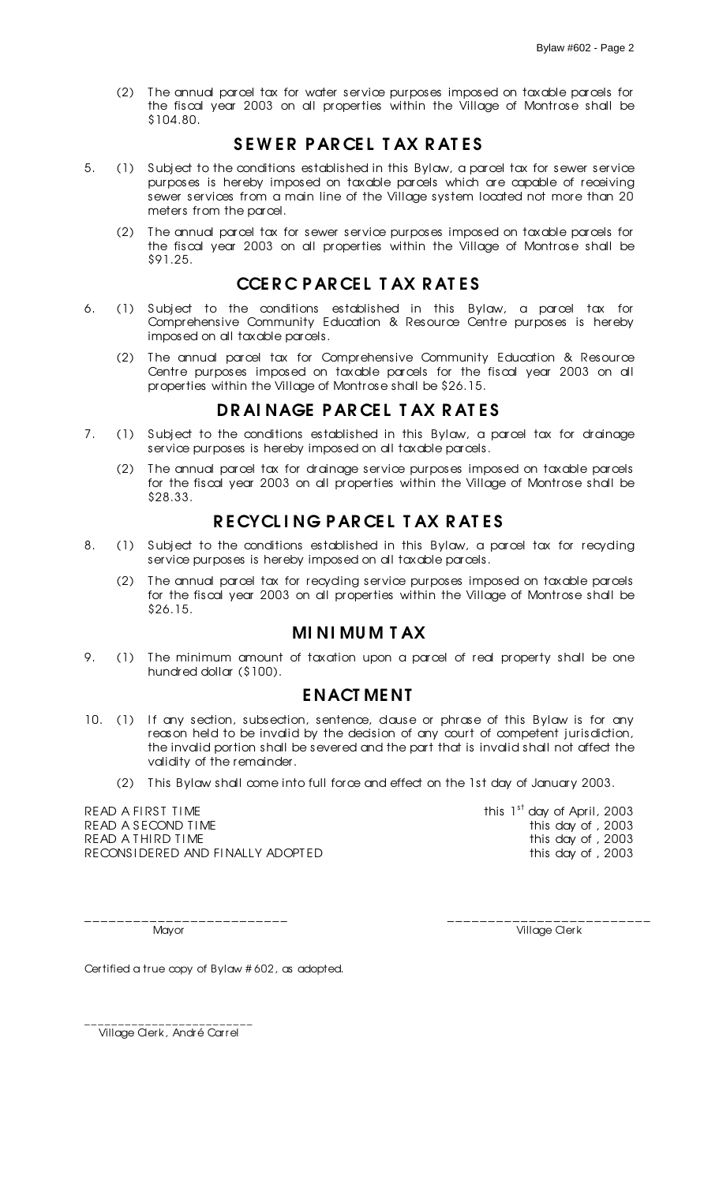(2) T he annual parcel tax for water service purposes imposed on taxable parcels for the fiscal year 2003 on all properties within the Village of Montrose shall be \$104.80.

### SEWER PARCEL TAX RATES

- 5. (1) S ubject to the conditions established in this Bylaw, a parcel tax for sewer service purposes is hereby imposed on taxable parcels which are capable of receiving sewer services from a main line of the Village system located not more than 20 meters from the parcel.
	- (2) T he annual parcel tax for sewer service purposes imposed on taxable parcels for the fiscal year 2003 on all properties within the Village of Montrose shall be \$91.25.

## CCE R C P AR CEL T AX R AT ES

- 6. (1) S ubject to the conditions established in this Bylaw, a parcel tax for Comprehensive Community Education & Resource Centre purposes is hereby imposed on all taxable parcels.
	- (2) T he annual parcel tax for Comprehensive Community Education & Resource Centre purposes imposed on taxable parcels for the fiscal year 2003 on all properties within the Village of Montrose shall be \$26.15.

#### DRAINAGE PARCEL TAX RATES

- 7. (1) S ubject to the conditions established in this Bylaw, a parcel tax for drainage service purposes is hereby imposed on all taxable parcels.
	- (2) T he annual parcel tax for drainage service purposes imposed on taxable parcels for the fiscal year 2003 on all properties within the Village of Montrose shall be \$28.33.

### RECYCLING PARCEL TAX RATES

- 8. (1) Subject to the conditions established in this Bylaw, a parcel tax for recycling service purposes is hereby imposed on all taxable parcels.
	- (2) T he annual parcel tax for recycling service purposes imposed on taxable parcels for the fiscal year 2003 on all properties within the Village of Montrose shall be \$26.15.

#### MI NI MU M T AX

9. (1) The minimum amount of taxation upon a parcel of real property shall be one hundred dollar (\$100).

#### E NACT ME NT

- 10. (1) If any section, subsection, sentence, dause or phrase of this Bylaw is for any reason held to be invalid by the decision of any court of competent jurisdiction, the invalid portion shall be severed and the part that is invalid shall not affect the validity of the remainder.
	- (2) T his Bylaw shall come into full force and effect on the 1st day of January 2003.

READ A FIRST TIME READ A SECOND TIME THE READ A SECOND TIME READ A THIRD TIME<br>RECONSIDERED AND FINALLY ADOPTED this day of , 2003 RECONSIDERED AND FINALLY ADOPTED

this  $1<sup>st</sup>$  day of April, 2003

\_\_\_\_\_\_\_\_\_\_\_\_\_\_\_\_\_\_\_\_\_\_\_\_\_ \_\_\_\_\_\_\_\_\_\_\_\_\_\_\_\_\_\_\_\_\_\_\_\_\_

Mayor **Mayor** Village Clerk

Certified a true copy of Bylaw # 602, as adopted.

\_\_\_\_\_\_\_\_\_\_\_\_\_\_\_\_\_\_\_\_\_\_\_\_\_ Village Clerk, André Carrel